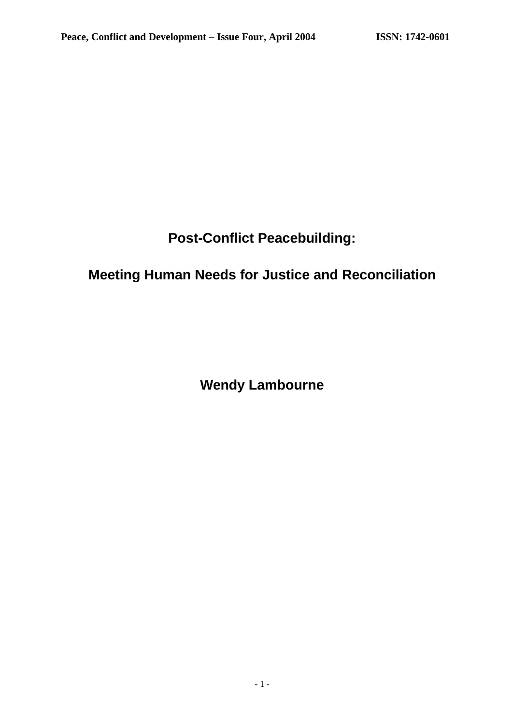# **Post-Conflict Peacebuilding:**

# **Meeting Human Needs for Justice and Reconciliation**

**Wendy Lambourne**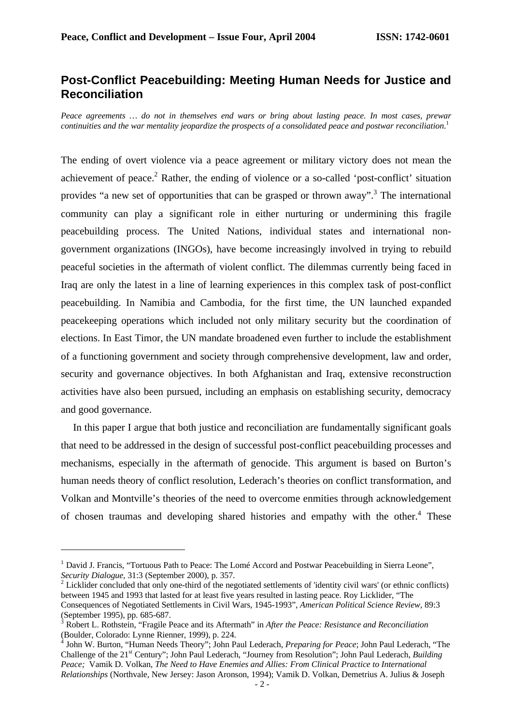# **Post-Conflict Peacebuilding: Meeting Human Needs for Justice and Reconciliation**

*Peace agreements … do not in themselves end wars or bring about lasting peace. In most cases, prewar continuities and the war mentality jeopardize the prospects of a consolidated peace and postwar reconciliation*. 1

The ending of overt violence via a peace agreement or military victory does not mean the achievement of peace.<sup>2</sup> Rather, the ending of violence or a so-called 'post-conflict' situation provides "a new set of opportunities that can be grasped or thrown away".<sup>3</sup> The international community can play a significant role in either nurturing or undermining this fragile peacebuilding process. The United Nations, individual states and international nongovernment organizations (INGOs), have become increasingly involved in trying to rebuild peaceful societies in the aftermath of violent conflict. The dilemmas currently being faced in Iraq are only the latest in a line of learning experiences in this complex task of post-conflict peacebuilding. In Namibia and Cambodia, for the first time, the UN launched expanded peacekeeping operations which included not only military security but the coordination of elections. In East Timor, the UN mandate broadened even further to include the establishment of a functioning government and society through comprehensive development, law and order, security and governance objectives. In both Afghanistan and Iraq, extensive reconstruction activities have also been pursued, including an emphasis on establishing security, democracy and good governance.

In this paper I argue that both justice and reconciliation are fundamentally significant goals that need to be addressed in the design of successful post-conflict peacebuilding processes and mechanisms, especially in the aftermath of genocide. This argument is based on Burton's human needs theory of conflict resolution, Lederach's theories on conflict transformation, and Volkan and Montville's theories of the need to overcome enmities through acknowledgement of chosen traumas and developing shared histories and empathy with the other.<sup>4</sup> These

<sup>&</sup>lt;sup>1</sup> David J. Francis, "Tortuous Path to Peace: The Lomé Accord and Postwar Peacebuilding in Sierra Leone", *Security Dialogue*, 31:3 (September 2000), p. 357.

<sup>&</sup>lt;sup>2</sup> Licklider concluded that only one-third of the negotiated settlements of 'identity civil wars' (or ethnic conflicts) between 1945 and 1993 that lasted for at least five years resulted in lasting peace. Roy Licklider, "The Consequences of Negotiated Settlements in Civil Wars, 1945-1993", *American Political Science Review*, 89:3 (September 1995), pp. 685-687.

<sup>3</sup> Robert L. Rothstein, "Fragile Peace and its Aftermath" in *After the Peace: Resistance and Reconciliation* (Boulder, Colorado: Lynne Rienner, 1999), p. 224.

<sup>4</sup> John W. Burton, "Human Needs Theory"; John Paul Lederach, *Preparing for Peace*; John Paul Lederach, "The Challenge of the 21st Century"; John Paul Lederach, "Journey from Resolution"; John Paul Lederach, *Building Peace;* Vamik D. Volkan, *The Need to Have Enemies and Allies: From Clinical Practice to International Relationships* (Northvale, New Jersey: Jason Aronson, 1994); Vamik D. Volkan, Demetrius A. Julius & Joseph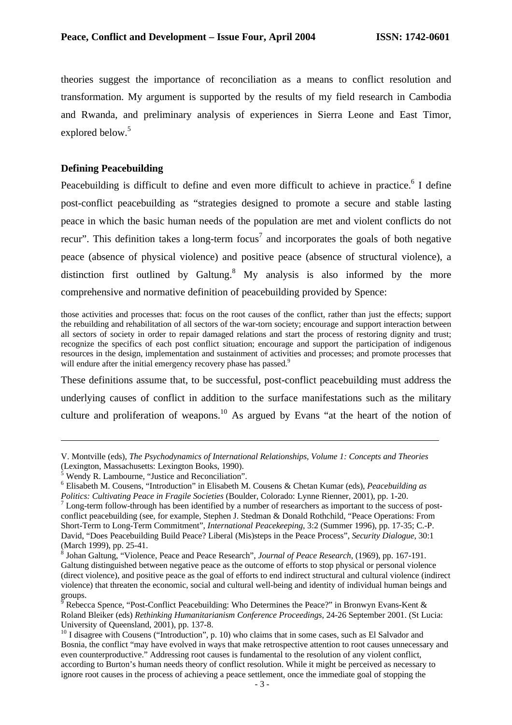theories suggest the importance of reconciliation as a means to conflict resolution and transformation. My argument is supported by the results of my field research in Cambodia and Rwanda, and preliminary analysis of experiences in Sierra Leone and East Timor, explored below.<sup>5</sup>

## **Defining Peacebuilding**

Peacebuilding is difficult to define and even more difficult to achieve in practice.<sup>6</sup> I define post-conflict peacebuilding as "strategies designed to promote a secure and stable lasting peace in which the basic human needs of the population are met and violent conflicts do not recur". This definition takes a long-term focus<sup>7</sup> and incorporates the goals of both negative peace (absence of physical violence) and positive peace (absence of structural violence), a distinction first outlined by Galtung.<sup>8</sup> My analysis is also informed by the more comprehensive and normative definition of peacebuilding provided by Spence:

those activities and processes that: focus on the root causes of the conflict, rather than just the effects; support the rebuilding and rehabilitation of all sectors of the war-torn society; encourage and support interaction between all sectors of society in order to repair damaged relations and start the process of restoring dignity and trust; recognize the specifics of each post conflict situation; encourage and support the participation of indigenous resources in the design, implementation and sustainment of activities and processes; and promote processes that will endure after the initial emergency recovery phase has passed.<sup>9</sup>

These definitions assume that, to be successful, post-conflict peacebuilding must address the underlying causes of conflict in addition to the surface manifestations such as the military culture and proliferation of weapons.<sup>10</sup> As argued by Evans "at the heart of the notion of

V. Montville (eds), *The Psychodynamics of International Relationships, Volume 1: Concepts and Theories* (Lexington, Massachusetts: Lexington Books, 1990).

<sup>5</sup> Wendy R. Lambourne, "Justice and Reconciliation".

<sup>6</sup> Elisabeth M. Cousens, "Introduction" in Elisabeth M. Cousens & Chetan Kumar (eds), *Peacebuilding as Politics: Cultivating Peace in Fragile Societies* (Boulder, Colorado: Lynne Rienner, 2001), pp. 1-20.

<sup>&</sup>lt;sup>7</sup> Long-term follow-through has been identified by a number of researchers as important to the success of postconflict peacebuilding (see, for example, Stephen J. Stedman & Donald Rothchild, "Peace Operations: From Short-Term to Long-Term Commitment", *International Peacekeeping*, 3:2 (Summer 1996), pp. 17-35; C.-P. David, "Does Peacebuilding Build Peace? Liberal (Mis)steps in the Peace Process", *Security Dialogue*, 30:1 (March 1999), pp. 25-41.

<sup>8</sup> Johan Galtung, "Violence, Peace and Peace Research", *Journal of Peace Research*, (1969), pp. 167-191. Galtung distinguished between negative peace as the outcome of efforts to stop physical or personal violence (direct violence), and positive peace as the goal of efforts to end indirect structural and cultural violence (indirect violence) that threaten the economic, social and cultural well-being and identity of individual human beings and groups.

Rebecca Spence, "Post-Conflict Peacebuilding: Who Determines the Peace?" in Bronwyn Evans-Kent & Roland Bleiker (eds) *Rethinking Humanitarianism Conference Proceedings*, 24-26 September 2001. (St Lucia: University of Queensland, 2001), pp. 137-8.

 $10$  I disagree with Cousens ("Introduction", p. 10) who claims that in some cases, such as El Salvador and Bosnia, the conflict "may have evolved in ways that make retrospective attention to root causes unnecessary and even counterproductive." Addressing root causes is fundamental to the resolution of any violent conflict, according to Burton's human needs theory of conflict resolution. While it might be perceived as necessary to ignore root causes in the process of achieving a peace settlement, once the immediate goal of stopping the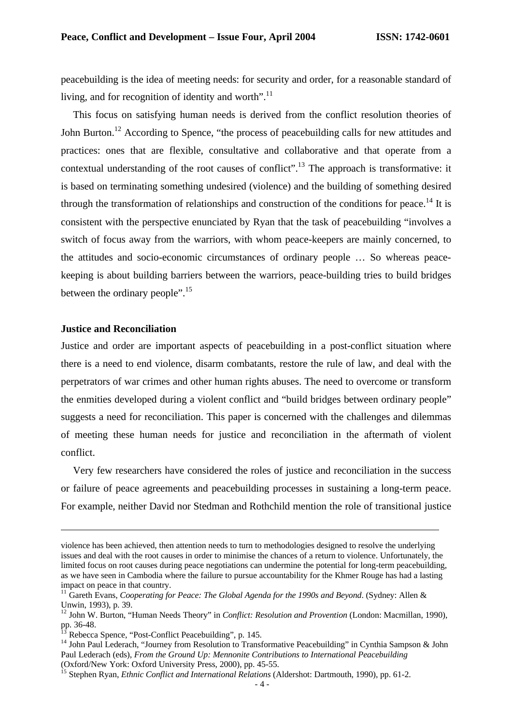peacebuilding is the idea of meeting needs: for security and order, for a reasonable standard of living, and for recognition of identity and worth".<sup>11</sup>

This focus on satisfying human needs is derived from the conflict resolution theories of John Burton.<sup>12</sup> According to Spence, "the process of peacebuilding calls for new attitudes and practices: ones that are flexible, consultative and collaborative and that operate from a contextual understanding of the root causes of conflict".<sup>13</sup> The approach is transformative: it is based on terminating something undesired (violence) and the building of something desired through the transformation of relationships and construction of the conditions for peace.<sup>14</sup> It is consistent with the perspective enunciated by Ryan that the task of peacebuilding "involves a switch of focus away from the warriors, with whom peace-keepers are mainly concerned, to the attitudes and socio-economic circumstances of ordinary people … So whereas peacekeeping is about building barriers between the warriors, peace-building tries to build bridges between the ordinary people".<sup>15</sup>

#### **Justice and Reconciliation**

 $\overline{a}$ 

Justice and order are important aspects of peacebuilding in a post-conflict situation where there is a need to end violence, disarm combatants, restore the rule of law, and deal with the perpetrators of war crimes and other human rights abuses. The need to overcome or transform the enmities developed during a violent conflict and "build bridges between ordinary people" suggests a need for reconciliation. This paper is concerned with the challenges and dilemmas of meeting these human needs for justice and reconciliation in the aftermath of violent conflict.

Very few researchers have considered the roles of justice and reconciliation in the success or failure of peace agreements and peacebuilding processes in sustaining a long-term peace. For example, neither David nor Stedman and Rothchild mention the role of transitional justice

violence has been achieved, then attention needs to turn to methodologies designed to resolve the underlying issues and deal with the root causes in order to minimise the chances of a return to violence. Unfortunately, the limited focus on root causes during peace negotiations can undermine the potential for long-term peacebuilding, as we have seen in Cambodia where the failure to pursue accountability for the Khmer Rouge has had a lasting impact on peace in that country.

<sup>11</sup> Gareth Evans, *Cooperating for Peace: The Global Agenda for the 1990s and Beyond*. (Sydney: Allen & Unwin, 1993), p. 39.

<sup>12</sup> John W. Burton, "Human Needs Theory" in *Conflict: Resolution and Provention* (London: Macmillan, 1990), pp.  $36-48$ .

Rebecca Spence, "Post-Conflict Peacebuilding", p. 145.

<sup>&</sup>lt;sup>14</sup> John Paul Lederach, "Journey from Resolution to Transformative Peacebuilding" in Cynthia Sampson & John Paul Lederach (eds), *From the Ground Up: Mennonite Contributions to International Peacebuilding* (Oxford/New York: Oxford University Press, 2000), pp. 45-55.

<sup>&</sup>lt;sup>15</sup> Stephen Ryan, *Ethnic Conflict and International Relations* (Aldershot: Dartmouth, 1990), pp. 61-2.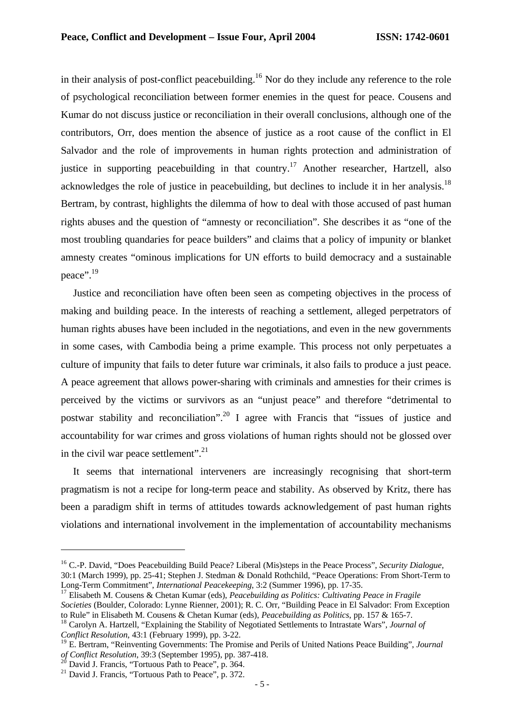in their analysis of post-conflict peacebuilding.<sup>16</sup> Nor do they include any reference to the role of psychological reconciliation between former enemies in the quest for peace. Cousens and Kumar do not discuss justice or reconciliation in their overall conclusions, although one of the contributors, Orr, does mention the absence of justice as a root cause of the conflict in El Salvador and the role of improvements in human rights protection and administration of justice in supporting peacebuilding in that country.<sup>17</sup> Another researcher, Hartzell, also acknowledges the role of justice in peacebuilding, but declines to include it in her analysis.<sup>18</sup> Bertram, by contrast, highlights the dilemma of how to deal with those accused of past human rights abuses and the question of "amnesty or reconciliation". She describes it as "one of the most troubling quandaries for peace builders" and claims that a policy of impunity or blanket amnesty creates "ominous implications for UN efforts to build democracy and a sustainable peace".<sup>19</sup>

Justice and reconciliation have often been seen as competing objectives in the process of making and building peace. In the interests of reaching a settlement, alleged perpetrators of human rights abuses have been included in the negotiations, and even in the new governments in some cases, with Cambodia being a prime example. This process not only perpetuates a culture of impunity that fails to deter future war criminals, it also fails to produce a just peace. A peace agreement that allows power-sharing with criminals and amnesties for their crimes is perceived by the victims or survivors as an "unjust peace" and therefore "detrimental to postwar stability and reconciliation".<sup>20</sup> I agree with Francis that "issues of justice and accountability for war crimes and gross violations of human rights should not be glossed over in the civil war peace settlement".<sup>21</sup>

It seems that international interveners are increasingly recognising that short-term pragmatism is not a recipe for long-term peace and stability. As observed by Kritz, there has been a paradigm shift in terms of attitudes towards acknowledgement of past human rights violations and international involvement in the implementation of accountability mechanisms

<sup>16</sup> C.-P. David, "Does Peacebuilding Build Peace? Liberal (Mis)steps in the Peace Process", *Security Dialogue*, 30:1 (March 1999), pp. 25-41; Stephen J. Stedman & Donald Rothchild, "Peace Operations: From Short-Term to Long-Term Commitment", *International Peacekeeping*, 3:2 (Summer 1996), pp. 17-35.

<sup>17</sup> Elisabeth M. Cousens & Chetan Kumar (eds), *Peacebuilding as Politics: Cultivating Peace in Fragile Societies* (Boulder, Colorado: Lynne Rienner, 2001); R. C. Orr, "Building Peace in El Salvador: From Exception to Rule" in Elisabeth M. Cousens & Chetan Kumar (eds), *Peacebuilding as Politics*, pp. 157 & 165-7.

<sup>18</sup> Carolyn A. Hartzell, "Explaining the Stability of Negotiated Settlements to Intrastate Wars", *Journal of Conflict Resolution*, 43:1 (February 1999), pp. 3-22.

<sup>19</sup> E. Bertram, "Reinventing Governments: The Promise and Perils of United Nations Peace Building", *Journal of Conflict Resolution*, 39:3 (September 1995), pp. 387-418.

<sup>&</sup>lt;sup>20</sup> David J. Francis, "Tortuous Path to Peace", p. 364.

<sup>&</sup>lt;sup>21</sup> David J. Francis, "Tortuous Path to Peace", p. 372.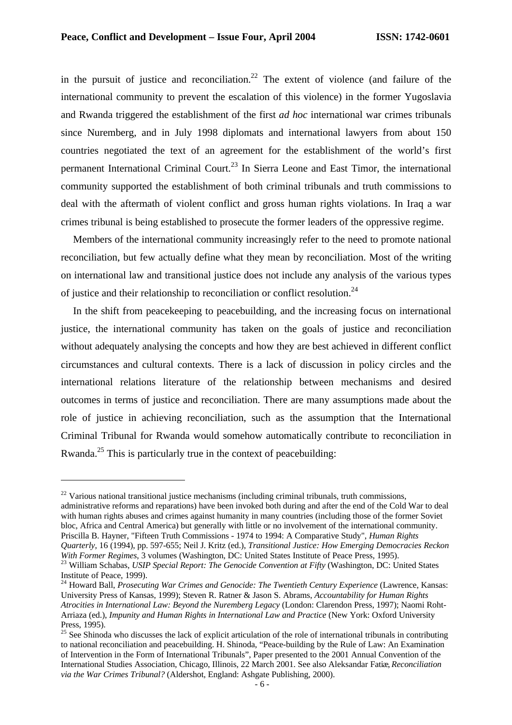in the pursuit of justice and reconciliation.<sup>22</sup> The extent of violence (and failure of the international community to prevent the escalation of this violence) in the former Yugoslavia and Rwanda triggered the establishment of the first *ad hoc* international war crimes tribunals since Nuremberg, and in July 1998 diplomats and international lawyers from about 150 countries negotiated the text of an agreement for the establishment of the world's first permanent International Criminal Court.<sup>23</sup> In Sierra Leone and East Timor, the international community supported the establishment of both criminal tribunals and truth commissions to deal with the aftermath of violent conflict and gross human rights violations. In Iraq a war crimes tribunal is being established to prosecute the former leaders of the oppressive regime.

Members of the international community increasingly refer to the need to promote national reconciliation, but few actually define what they mean by reconciliation. Most of the writing on international law and transitional justice does not include any analysis of the various types of justice and their relationship to reconciliation or conflict resolution.<sup>24</sup>

In the shift from peacekeeping to peacebuilding, and the increasing focus on international justice, the international community has taken on the goals of justice and reconciliation without adequately analysing the concepts and how they are best achieved in different conflict circumstances and cultural contexts. There is a lack of discussion in policy circles and the international relations literature of the relationship between mechanisms and desired outcomes in terms of justice and reconciliation. There are many assumptions made about the role of justice in achieving reconciliation, such as the assumption that the International Criminal Tribunal for Rwanda would somehow automatically contribute to reconciliation in Rwanda.<sup>25</sup> This is particularly true in the context of peacebuilding:

 $^{22}$  Various national transitional justice mechanisms (including criminal tribunals, truth commissions, administrative reforms and reparations) have been invoked both during and after the end of the Cold War to deal with human rights abuses and crimes against humanity in many countries (including those of the former Soviet bloc, Africa and Central America) but generally with little or no involvement of the international community. Priscilla B. Hayner, "Fifteen Truth Commissions - 1974 to 1994: A Comparative Study", *Human Rights Quarterly*, 16 (1994), pp. 597-655; Neil J. Kritz (ed.), *Transitional Justice: How Emerging Democracies Reckon With Former Regimes*, 3 volumes (Washington, DC: United States Institute of Peace Press, 1995).

<sup>23</sup> William Schabas, *USIP Special Report: The Genocide Convention at Fifty* (Washington, DC: United States Institute of Peace, 1999).

<sup>&</sup>lt;sup>24</sup> Howard Ball, *Prosecuting War Crimes and Genocide: The Twentieth Century Experience* (Lawrence, Kansas: University Press of Kansas, 1999); Steven R. Ratner & Jason S. Abrams, *Accountability for Human Rights Atrocities in International Law: Beyond the Nuremberg Legacy* (London: Clarendon Press, 1997); Naomi Roht-Arriaza (ed.), *Impunity and Human Rights in International Law and Practice* (New York: Oxford University Press, 1995).

 $25$  See Shinoda who discusses the lack of explicit articulation of the role of international tribunals in contributing to national reconciliation and peacebuilding. H. Shinoda, "Peace-building by the Rule of Law: An Examination of Intervention in the Form of International Tribunals", Paper presented to the 2001 Annual Convention of the International Studies Association, Chicago, Illinois, 22 March 2001. See also Aleksandar Fatiæ, *Reconciliation via the War Crimes Tribunal?* (Aldershot, England: Ashgate Publishing, 2000).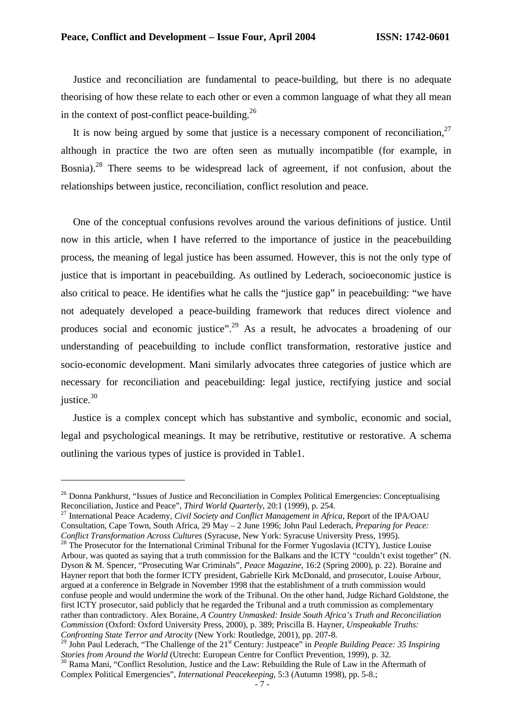Justice and reconciliation are fundamental to peace-building, but there is no adequate theorising of how these relate to each other or even a common language of what they all mean in the context of post-conflict peace-building. $^{26}$ 

It is now being argued by some that justice is a necessary component of reconciliation.<sup>27</sup> although in practice the two are often seen as mutually incompatible (for example, in Bosnia).<sup>28</sup> There seems to be widespread lack of agreement, if not confusion, about the relationships between justice, reconciliation, conflict resolution and peace.

One of the conceptual confusions revolves around the various definitions of justice. Until now in this article, when I have referred to the importance of justice in the peacebuilding process, the meaning of legal justice has been assumed. However, this is not the only type of justice that is important in peacebuilding. As outlined by Lederach, socioeconomic justice is also critical to peace. He identifies what he calls the "justice gap" in peacebuilding: "we have not adequately developed a peace-building framework that reduces direct violence and produces social and economic justice".<sup>29</sup> As a result, he advocates a broadening of our understanding of peacebuilding to include conflict transformation, restorative justice and socio-economic development. Mani similarly advocates three categories of justice which are necessary for reconciliation and peacebuilding: legal justice, rectifying justice and social justice.<sup>30</sup>

Justice is a complex concept which has substantive and symbolic, economic and social, legal and psychological meanings. It may be retributive, restitutive or restorative. A schema outlining the various types of justice is provided in Table1.

<sup>&</sup>lt;sup>26</sup> Donna Pankhurst, "Issues of Justice and Reconciliation in Complex Political Emergencies: Conceptualising Reconciliation, Justice and Peace", *Third World Quarterly*, 20:1 (1999), p. 254.

<sup>27</sup> International Peace Academy, *Civil Society and Conflict Management in Africa*, Report of the IPA/OAU Consultation, Cape Town, South Africa, 29 May – 2 June 1996; John Paul Lederach, *Preparing for Peace: Conflict Transformation Across Cultures* (Syracuse, New York: Syracuse University Press, 1995).

<sup>&</sup>lt;sup>28</sup> The Prosecutor for the International Criminal Tribunal for the Former Yugoslavia (ICTY), Justice Louise Arbour, was quoted as saying that a truth commission for the Balkans and the ICTY "couldn't exist together" (N. Dyson & M. Spencer, "Prosecuting War Criminals", *Peace Magazine*, 16:2 (Spring 2000), p. 22). Boraine and Hayner report that both the former ICTY president, Gabrielle Kirk McDonald, and prosecutor, Louise Arbour, argued at a conference in Belgrade in November 1998 that the establishment of a truth commission would confuse people and would undermine the work of the Tribunal. On the other hand, Judge Richard Goldstone, the first ICTY prosecutor, said publicly that he regarded the Tribunal and a truth commission as complementary rather than contradictory. Alex Boraine, *A Country Unmasked: Inside South Africa's Truth and Reconciliation Commission* (Oxford: Oxford University Press, 2000), p. 389; Priscilla B. Hayner, *Unspeakable Truths: Confronting State Terror and Atrocity* (New York: Routledge, 2001), pp. 207-8.

<sup>&</sup>lt;sup>29</sup> John Paul Lederach, "The Challenge of the 21<sup>st</sup> Century: Justpeace" in *People Building Peace: 35 Inspiring Stories from Around the World* (Utrecht: European Centre for Conflict Prevention, 1999), p. 32.

<sup>&</sup>lt;sup>30</sup> Rama Mani, "Conflict Resolution, Justice and the Law: Rebuilding the Rule of Law in the Aftermath of Complex Political Emergencies", *International Peacekeeping*, 5:3 (Autumn 1998), pp. 5-8.;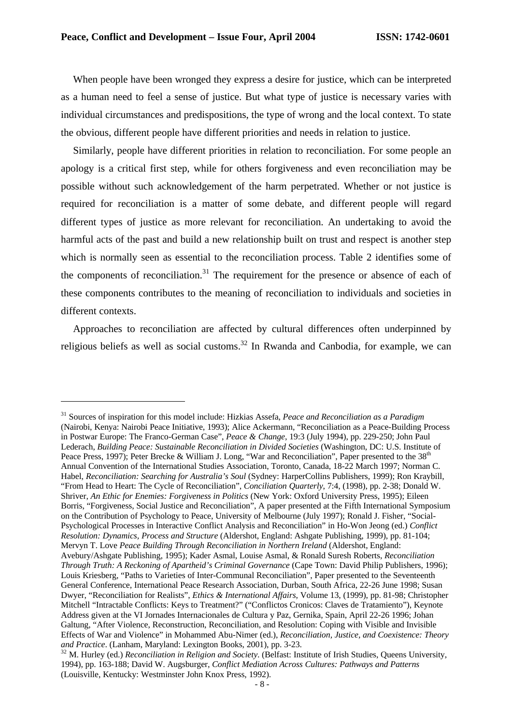$\overline{a}$ 

When people have been wronged they express a desire for justice, which can be interpreted as a human need to feel a sense of justice. But what type of justice is necessary varies with individual circumstances and predispositions, the type of wrong and the local context. To state the obvious, different people have different priorities and needs in relation to justice.

Similarly, people have different priorities in relation to reconciliation. For some people an apology is a critical first step, while for others forgiveness and even reconciliation may be possible without such acknowledgement of the harm perpetrated. Whether or not justice is required for reconciliation is a matter of some debate, and different people will regard different types of justice as more relevant for reconciliation. An undertaking to avoid the harmful acts of the past and build a new relationship built on trust and respect is another step which is normally seen as essential to the reconciliation process. Table 2 identifies some of the components of reconciliation.<sup>31</sup> The requirement for the presence or absence of each of these components contributes to the meaning of reconciliation to individuals and societies in different contexts.

Approaches to reconciliation are affected by cultural differences often underpinned by religious beliefs as well as social customs.<sup>32</sup> In Rwanda and Canbodia, for example, we can

<sup>31</sup> Sources of inspiration for this model include: Hizkias Assefa, *Peace and Reconciliation as a Paradigm* (Nairobi, Kenya: Nairobi Peace Initiative, 1993); Alice Ackermann, "Reconciliation as a Peace-Building Process in Postwar Europe: The Franco-German Case", *Peace & Change*, 19:3 (July 1994), pp. 229-250; John Paul Lederach, *Building Peace: Sustainable Reconciliation in Divided Societies* (Washington, DC: U.S. Institute of Peace Press, 1997); Peter Brecke & William J. Long, "War and Reconciliation", Paper presented to the 38<sup>th</sup> Annual Convention of the International Studies Association, Toronto, Canada, 18-22 March 1997; Norman C. Habel, *Reconciliation: Searching for Australia's Soul* (Sydney: HarperCollins Publishers, 1999); Ron Kraybill, "From Head to Heart: The Cycle of Reconciliation", *Conciliation Quarterly*, 7:4, (1998), pp. 2-38; Donald W. Shriver, *An Ethic for Enemies: Forgiveness in Politics* (New York: Oxford University Press, 1995); Eileen Borris, "Forgiveness, Social Justice and Reconciliation", A paper presented at the Fifth International Symposium on the Contribution of Psychology to Peace, University of Melbourne (July 1997); Ronald J. Fisher, "Social-Psychological Processes in Interactive Conflict Analysis and Reconciliation" in Ho-Won Jeong (ed.) *Conflict Resolution: Dynamics, Process and Structure* (Aldershot, England: Ashgate Publishing, 1999), pp. 81-104; Mervyn T. Love *Peace Building Through Reconciliation in Northern Ireland* (Aldershot, England: Avebury/Ashgate Publishing, 1995); Kader Asmal, Louise Asmal, & Ronald Suresh Roberts, *Reconciliation Through Truth: A Reckoning of Apartheid's Criminal Governance* (Cape Town: David Philip Publishers, 1996); Louis Kriesberg, "Paths to Varieties of Inter-Communal Reconciliation", Paper presented to the Seventeenth General Conference, International Peace Research Association, Durban, South Africa, 22-26 June 1998; Susan Dwyer, "Reconciliation for Realists", *Ethics & International Affairs*, Volume 13, (1999), pp. 81-98; Christopher Mitchell "Intractable Conflicts: Keys to Treatment?" ("Conflictos Cronicos: Claves de Tratamiento"), Keynote Address given at the VI Jornades Internacionales de Cultura y Paz, Gernika, Spain, April 22-26 1996; Johan Galtung, "After Violence, Reconstruction, Reconciliation, and Resolution: Coping with Visible and Invisible Effects of War and Violence" in Mohammed Abu-Nimer (ed.), *Reconciliation, Justice, and Coexistence: Theory and Practice*. (Lanham, Maryland: Lexington Books, 2001), pp. 3-23.

<sup>32</sup> M. Hurley (ed.) *Reconciliation in Religion and Society*. (Belfast: Institute of Irish Studies, Queens University, 1994), pp. 163-188; David W. Augsburger, *Conflict Mediation Across Cultures: Pathways and Patterns* (Louisville, Kentucky: Westminster John Knox Press, 1992).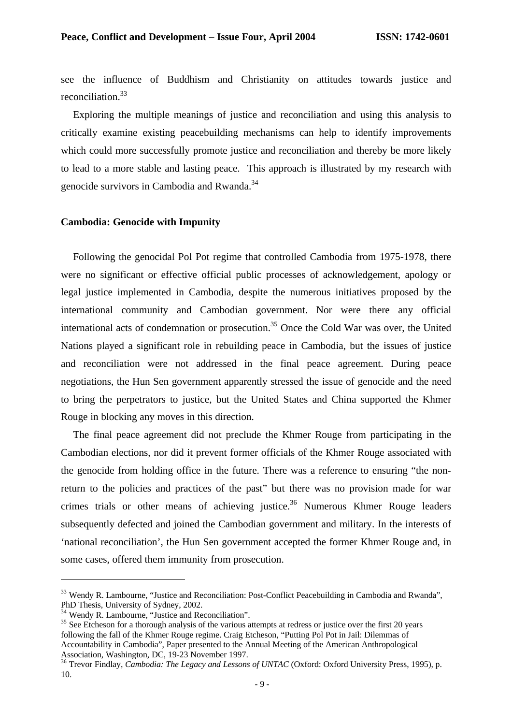see the influence of Buddhism and Christianity on attitudes towards justice and reconciliation.<sup>33</sup>

Exploring the multiple meanings of justice and reconciliation and using this analysis to critically examine existing peacebuilding mechanisms can help to identify improvements which could more successfully promote justice and reconciliation and thereby be more likely to lead to a more stable and lasting peace. This approach is illustrated by my research with genocide survivors in Cambodia and Rwanda.<sup>34</sup>

#### **Cambodia: Genocide with Impunity**

Following the genocidal Pol Pot regime that controlled Cambodia from 1975-1978, there were no significant or effective official public processes of acknowledgement, apology or legal justice implemented in Cambodia, despite the numerous initiatives proposed by the international community and Cambodian government. Nor were there any official international acts of condemnation or prosecution.<sup>35</sup> Once the Cold War was over, the United Nations played a significant role in rebuilding peace in Cambodia, but the issues of justice and reconciliation were not addressed in the final peace agreement. During peace negotiations, the Hun Sen government apparently stressed the issue of genocide and the need to bring the perpetrators to justice, but the United States and China supported the Khmer Rouge in blocking any moves in this direction.

The final peace agreement did not preclude the Khmer Rouge from participating in the Cambodian elections, nor did it prevent former officials of the Khmer Rouge associated with the genocide from holding office in the future. There was a reference to ensuring "the nonreturn to the policies and practices of the past" but there was no provision made for war crimes trials or other means of achieving justice.<sup>36</sup> Numerous Khmer Rouge leaders subsequently defected and joined the Cambodian government and military. In the interests of 'national reconciliation', the Hun Sen government accepted the former Khmer Rouge and, in some cases, offered them immunity from prosecution.

<sup>&</sup>lt;sup>33</sup> Wendy R. Lambourne, "Justice and Reconciliation: Post-Conflict Peacebuilding in Cambodia and Rwanda", PhD Thesis, University of Sydney, 2002.

<sup>&</sup>lt;sup>34</sup> Wendy R. Lambourne, "Justice and Reconciliation".

<sup>&</sup>lt;sup>35</sup> See Etcheson for a thorough analysis of the various attempts at redress or justice over the first 20 years following the fall of the Khmer Rouge regime. Craig Etcheson, "Putting Pol Pot in Jail: Dilemmas of Accountability in Cambodia", Paper presented to the Annual Meeting of the American Anthropological Association, Washington, DC, 19-23 November 1997.

<sup>&</sup>lt;sup>36</sup> Trevor Findlay, *Cambodia: The Legacy and Lessons of UNTAC* (Oxford: Oxford University Press, 1995), p. 10.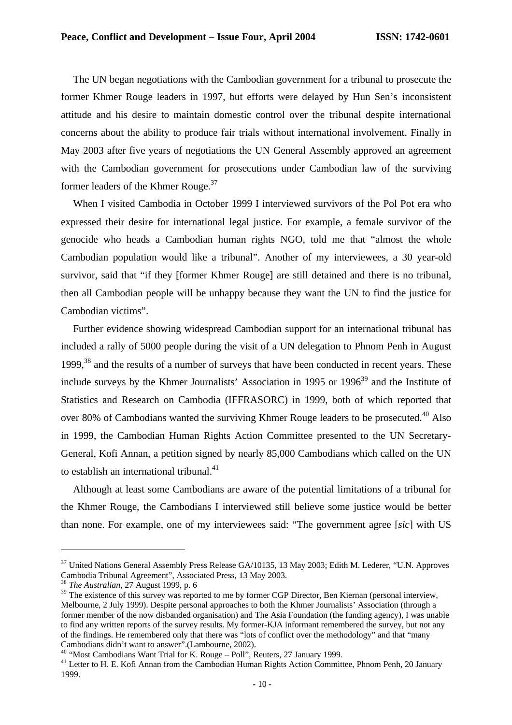The UN began negotiations with the Cambodian government for a tribunal to prosecute the former Khmer Rouge leaders in 1997, but efforts were delayed by Hun Sen's inconsistent attitude and his desire to maintain domestic control over the tribunal despite international concerns about the ability to produce fair trials without international involvement. Finally in May 2003 after five years of negotiations the UN General Assembly approved an agreement with the Cambodian government for prosecutions under Cambodian law of the surviving former leaders of the Khmer Rouge.<sup>37</sup>

When I visited Cambodia in October 1999 I interviewed survivors of the Pol Pot era who expressed their desire for international legal justice. For example, a female survivor of the genocide who heads a Cambodian human rights NGO, told me that "almost the whole Cambodian population would like a tribunal". Another of my interviewees, a 30 year-old survivor, said that "if they [former Khmer Rouge] are still detained and there is no tribunal, then all Cambodian people will be unhappy because they want the UN to find the justice for Cambodian victims".

Further evidence showing widespread Cambodian support for an international tribunal has included a rally of 5000 people during the visit of a UN delegation to Phnom Penh in August 1999.<sup>38</sup> and the results of a number of surveys that have been conducted in recent years. These include surveys by the Khmer Journalists' Association in 1995 or  $1996<sup>39</sup>$  and the Institute of Statistics and Research on Cambodia (IFFRASORC) in 1999, both of which reported that over 80% of Cambodians wanted the surviving Khmer Rouge leaders to be prosecuted.<sup>40</sup> Also in 1999, the Cambodian Human Rights Action Committee presented to the UN Secretary-General, Kofi Annan, a petition signed by nearly 85,000 Cambodians which called on the UN to establish an international tribunal.<sup>41</sup>

Although at least some Cambodians are aware of the potential limitations of a tribunal for the Khmer Rouge, the Cambodians I interviewed still believe some justice would be better than none. For example, one of my interviewees said: "The government agree [*sic*] with US

 $\overline{a}$ 

<sup>40</sup> "Most Cambodians Want Trial for K. Rouge – Poll", Reuters, 27 January 1999.

<sup>&</sup>lt;sup>37</sup> United Nations General Assembly Press Release GA/10135, 13 May 2003; Edith M. Lederer, "U.N. Approves Cambodia Tribunal Agreement", Associated Press, 13 May 2003.

<sup>38</sup> *The Australian*, 27 August 1999, p. 6

<sup>&</sup>lt;sup>39</sup> The existence of this survey was reported to me by former CGP Director, Ben Kiernan (personal interview, Melbourne, 2 July 1999). Despite personal approaches to both the Khmer Journalists' Association (through a former member of the now disbanded organisation) and The Asia Foundation (the funding agency), I was unable to find any written reports of the survey results. My former-KJA informant remembered the survey, but not any of the findings. He remembered only that there was "lots of conflict over the methodology" and that "many Cambodians didn't want to answer".(Lambourne, 2002).

<sup>&</sup>lt;sup>41</sup> Letter to H. E. Kofi Annan from the Cambodian Human Rights Action Committee, Phnom Penh, 20 January 1999.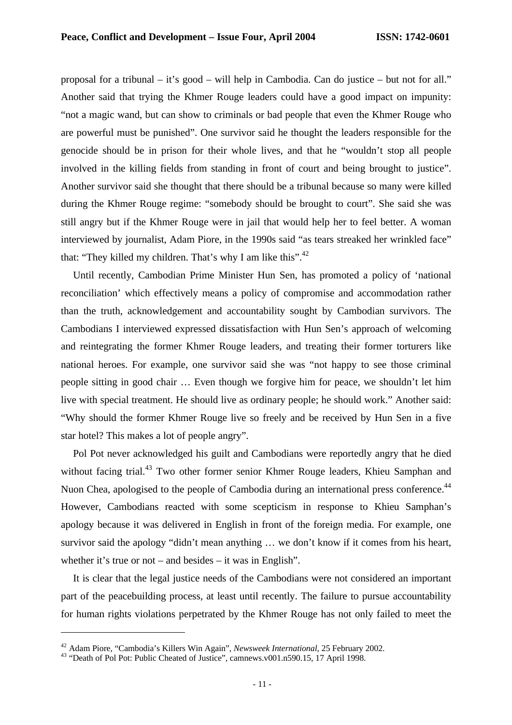proposal for a tribunal – it's good – will help in Cambodia. Can do justice – but not for all." Another said that trying the Khmer Rouge leaders could have a good impact on impunity: "not a magic wand, but can show to criminals or bad people that even the Khmer Rouge who are powerful must be punished". One survivor said he thought the leaders responsible for the genocide should be in prison for their whole lives, and that he "wouldn't stop all people involved in the killing fields from standing in front of court and being brought to justice". Another survivor said she thought that there should be a tribunal because so many were killed during the Khmer Rouge regime: "somebody should be brought to court". She said she was still angry but if the Khmer Rouge were in jail that would help her to feel better. A woman interviewed by journalist, Adam Piore, in the 1990s said "as tears streaked her wrinkled face" that: "They killed my children. That's why I am like this". $42$ 

Until recently, Cambodian Prime Minister Hun Sen, has promoted a policy of 'national reconciliation' which effectively means a policy of compromise and accommodation rather than the truth, acknowledgement and accountability sought by Cambodian survivors. The Cambodians I interviewed expressed dissatisfaction with Hun Sen's approach of welcoming and reintegrating the former Khmer Rouge leaders, and treating their former torturers like national heroes. For example, one survivor said she was "not happy to see those criminal people sitting in good chair … Even though we forgive him for peace, we shouldn't let him live with special treatment. He should live as ordinary people; he should work." Another said: "Why should the former Khmer Rouge live so freely and be received by Hun Sen in a five star hotel? This makes a lot of people angry".

Pol Pot never acknowledged his guilt and Cambodians were reportedly angry that he died without facing trial.<sup>43</sup> Two other former senior Khmer Rouge leaders, Khieu Samphan and Nuon Chea, apologised to the people of Cambodia during an international press conference.<sup>44</sup> However, Cambodians reacted with some scepticism in response to Khieu Samphan's apology because it was delivered in English in front of the foreign media. For example, one survivor said the apology "didn't mean anything … we don't know if it comes from his heart, whether it's true or not – and besides – it was in English".

It is clear that the legal justice needs of the Cambodians were not considered an important part of the peacebuilding process, at least until recently. The failure to pursue accountability for human rights violations perpetrated by the Khmer Rouge has not only failed to meet the

<sup>42</sup> Adam Piore, "Cambodia's Killers Win Again", *Newsweek International*, 25 February 2002.

<sup>&</sup>lt;sup>43</sup> "Death of Pol Pot: Public Cheated of Justice", camnews.v001.n590.15, 17 April 1998.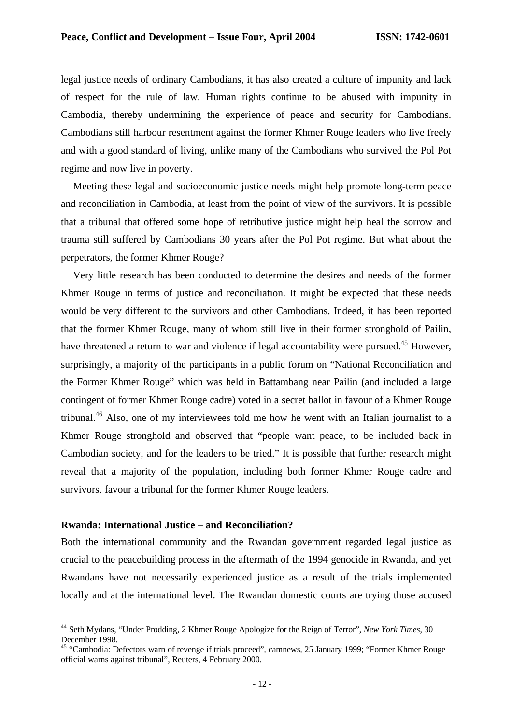legal justice needs of ordinary Cambodians, it has also created a culture of impunity and lack of respect for the rule of law. Human rights continue to be abused with impunity in Cambodia, thereby undermining the experience of peace and security for Cambodians. Cambodians still harbour resentment against the former Khmer Rouge leaders who live freely and with a good standard of living, unlike many of the Cambodians who survived the Pol Pot regime and now live in poverty.

Meeting these legal and socioeconomic justice needs might help promote long-term peace and reconciliation in Cambodia, at least from the point of view of the survivors. It is possible that a tribunal that offered some hope of retributive justice might help heal the sorrow and trauma still suffered by Cambodians 30 years after the Pol Pot regime. But what about the perpetrators, the former Khmer Rouge?

Very little research has been conducted to determine the desires and needs of the former Khmer Rouge in terms of justice and reconciliation. It might be expected that these needs would be very different to the survivors and other Cambodians. Indeed, it has been reported that the former Khmer Rouge, many of whom still live in their former stronghold of Pailin, have threatened a return to war and violence if legal accountability were pursued.<sup>45</sup> However, surprisingly, a majority of the participants in a public forum on "National Reconciliation and the Former Khmer Rouge" which was held in Battambang near Pailin (and included a large contingent of former Khmer Rouge cadre) voted in a secret ballot in favour of a Khmer Rouge tribunal.<sup>46</sup> Also, one of my interviewees told me how he went with an Italian journalist to a Khmer Rouge stronghold and observed that "people want peace, to be included back in Cambodian society, and for the leaders to be tried." It is possible that further research might reveal that a majority of the population, including both former Khmer Rouge cadre and survivors, favour a tribunal for the former Khmer Rouge leaders.

#### **Rwanda: International Justice – and Reconciliation?**

 $\overline{a}$ 

Both the international community and the Rwandan government regarded legal justice as crucial to the peacebuilding process in the aftermath of the 1994 genocide in Rwanda, and yet Rwandans have not necessarily experienced justice as a result of the trials implemented locally and at the international level. The Rwandan domestic courts are trying those accused

<sup>44</sup> Seth Mydans, "Under Prodding, 2 Khmer Rouge Apologize for the Reign of Terror", *New York Times*, 30 December 1998.

<sup>&</sup>lt;sup>45</sup> "Cambodia: Defectors warn of revenge if trials proceed", camnews, 25 January 1999; "Former Khmer Rouge official warns against tribunal", Reuters, 4 February 2000.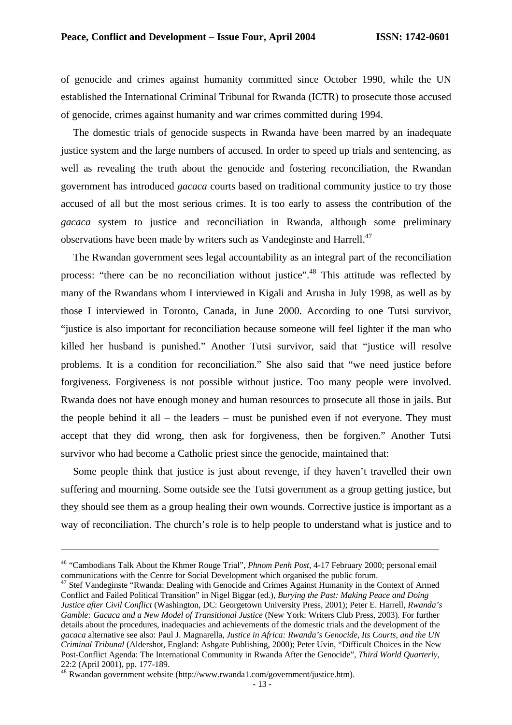of genocide and crimes against humanity committed since October 1990, while the UN established the International Criminal Tribunal for Rwanda (ICTR) to prosecute those accused of genocide, crimes against humanity and war crimes committed during 1994.

The domestic trials of genocide suspects in Rwanda have been marred by an inadequate justice system and the large numbers of accused. In order to speed up trials and sentencing, as well as revealing the truth about the genocide and fostering reconciliation, the Rwandan government has introduced *gacaca* courts based on traditional community justice to try those accused of all but the most serious crimes. It is too early to assess the contribution of the *gacaca* system to justice and reconciliation in Rwanda, although some preliminary observations have been made by writers such as Vandeginste and Harrell.<sup>47</sup>

The Rwandan government sees legal accountability as an integral part of the reconciliation process: "there can be no reconciliation without justice".<sup>48</sup> This attitude was reflected by many of the Rwandans whom I interviewed in Kigali and Arusha in July 1998, as well as by those I interviewed in Toronto, Canada, in June 2000. According to one Tutsi survivor, "justice is also important for reconciliation because someone will feel lighter if the man who killed her husband is punished." Another Tutsi survivor, said that "justice will resolve problems. It is a condition for reconciliation." She also said that "we need justice before forgiveness. Forgiveness is not possible without justice. Too many people were involved. Rwanda does not have enough money and human resources to prosecute all those in jails. But the people behind it all – the leaders – must be punished even if not everyone. They must accept that they did wrong, then ask for forgiveness, then be forgiven." Another Tutsi survivor who had become a Catholic priest since the genocide, maintained that:

Some people think that justice is just about revenge, if they haven't travelled their own suffering and mourning. Some outside see the Tutsi government as a group getting justice, but they should see them as a group healing their own wounds. Corrective justice is important as a way of reconciliation. The church's role is to help people to understand what is justice and to

<sup>46</sup> "Cambodians Talk About the Khmer Rouge Trial", *Phnom Penh Post*, 4-17 February 2000; personal email communications with the Centre for Social Development which organised the public forum.

<sup>&</sup>lt;sup>47</sup> Stef Vandeginste "Rwanda: Dealing with Genocide and Crimes Against Humanity in the Context of Armed Conflict and Failed Political Transition" in Nigel Biggar (ed.), *Burying the Past: Making Peace and Doing Justice after Civil Conflict* (Washington, DC: Georgetown University Press, 2001); Peter E. Harrell, *Rwanda's Gamble: Gacaca and a New Model of Transitional Justice* (New York: Writers Club Press, 2003). For further details about the procedures, inadequacies and achievements of the domestic trials and the development of the *gacaca* alternative see also: Paul J. Magnarella, *Justice in Africa: Rwanda's Genocide, Its Courts, and the UN Criminal Tribunal* (Aldershot, England: Ashgate Publishing, 2000); Peter Uvin, "Difficult Choices in the New Post-Conflict Agenda: The International Community in Rwanda After the Genocide", *Third World Quarterly*, 22:2 (April 2001), pp. 177-189.

<sup>48</sup> Rwandan government website (http://www.rwanda1.com/government/justice.htm).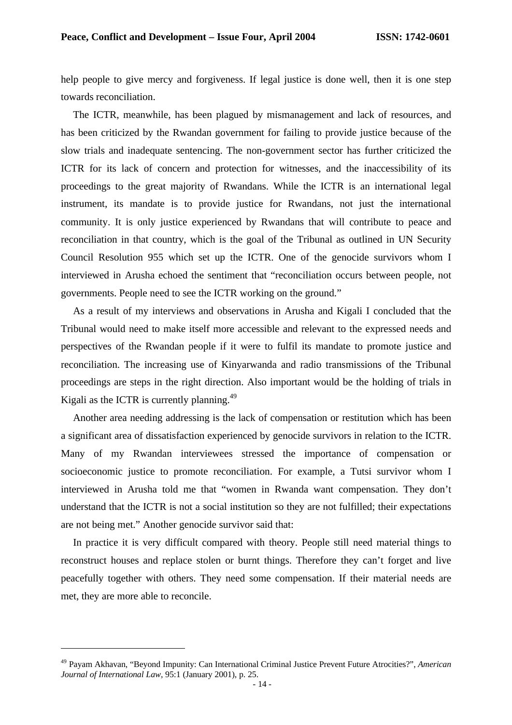help people to give mercy and forgiveness. If legal justice is done well, then it is one step towards reconciliation.

The ICTR, meanwhile, has been plagued by mismanagement and lack of resources, and has been criticized by the Rwandan government for failing to provide justice because of the slow trials and inadequate sentencing. The non-government sector has further criticized the ICTR for its lack of concern and protection for witnesses, and the inaccessibility of its proceedings to the great majority of Rwandans. While the ICTR is an international legal instrument, its mandate is to provide justice for Rwandans, not just the international community. It is only justice experienced by Rwandans that will contribute to peace and reconciliation in that country, which is the goal of the Tribunal as outlined in UN Security Council Resolution 955 which set up the ICTR. One of the genocide survivors whom I interviewed in Arusha echoed the sentiment that "reconciliation occurs between people, not governments. People need to see the ICTR working on the ground."

As a result of my interviews and observations in Arusha and Kigali I concluded that the Tribunal would need to make itself more accessible and relevant to the expressed needs and perspectives of the Rwandan people if it were to fulfil its mandate to promote justice and reconciliation. The increasing use of Kinyarwanda and radio transmissions of the Tribunal proceedings are steps in the right direction. Also important would be the holding of trials in Kigali as the ICTR is currently planning.<sup>49</sup>

Another area needing addressing is the lack of compensation or restitution which has been a significant area of dissatisfaction experienced by genocide survivors in relation to the ICTR. Many of my Rwandan interviewees stressed the importance of compensation or socioeconomic justice to promote reconciliation. For example, a Tutsi survivor whom I interviewed in Arusha told me that "women in Rwanda want compensation. They don't understand that the ICTR is not a social institution so they are not fulfilled; their expectations are not being met." Another genocide survivor said that:

In practice it is very difficult compared with theory. People still need material things to reconstruct houses and replace stolen or burnt things. Therefore they can't forget and live peacefully together with others. They need some compensation. If their material needs are met, they are more able to reconcile.

<sup>49</sup> Payam Akhavan, "Beyond Impunity: Can International Criminal Justice Prevent Future Atrocities?", *American Journal of International Law*, 95:1 (January 2001), p. 25.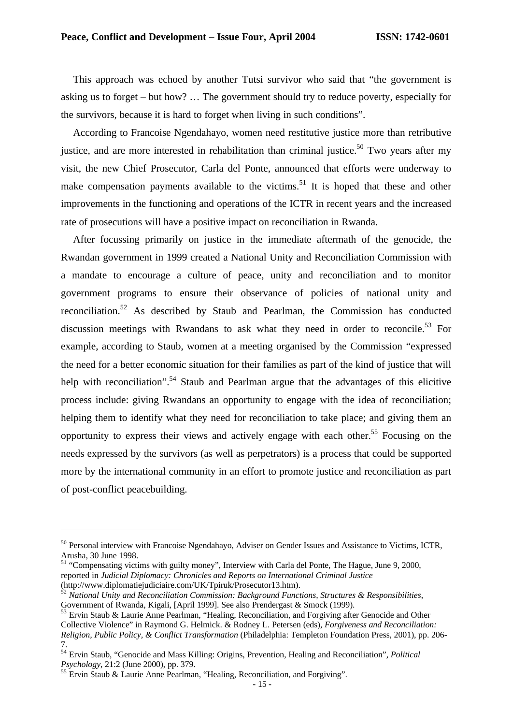This approach was echoed by another Tutsi survivor who said that "the government is asking us to forget – but how? … The government should try to reduce poverty, especially for the survivors, because it is hard to forget when living in such conditions".

According to Francoise Ngendahayo, women need restitutive justice more than retributive justice, and are more interested in rehabilitation than criminal justice.<sup>50</sup> Two years after my visit, the new Chief Prosecutor, Carla del Ponte, announced that efforts were underway to make compensation payments available to the victims.<sup>51</sup> It is hoped that these and other improvements in the functioning and operations of the ICTR in recent years and the increased rate of prosecutions will have a positive impact on reconciliation in Rwanda.

After focussing primarily on justice in the immediate aftermath of the genocide, the Rwandan government in 1999 created a National Unity and Reconciliation Commission with a mandate to encourage a culture of peace, unity and reconciliation and to monitor government programs to ensure their observance of policies of national unity and reconciliation.<sup>52</sup> As described by Staub and Pearlman, the Commission has conducted discussion meetings with Rwandans to ask what they need in order to reconcile.<sup>53</sup> For example, according to Staub, women at a meeting organised by the Commission "expressed the need for a better economic situation for their families as part of the kind of justice that will help with reconciliation".<sup>54</sup> Staub and Pearlman argue that the advantages of this elicitive process include: giving Rwandans an opportunity to engage with the idea of reconciliation; helping them to identify what they need for reconciliation to take place; and giving them an opportunity to express their views and actively engage with each other.<sup>55</sup> Focusing on the needs expressed by the survivors (as well as perpetrators) is a process that could be supported more by the international community in an effort to promote justice and reconciliation as part of post-conflict peacebuilding.

<sup>&</sup>lt;sup>50</sup> Personal interview with Francoise Ngendahayo, Adviser on Gender Issues and Assistance to Victims, ICTR, Arusha, 30 June 1998.

<sup>&</sup>lt;sup>51</sup> "Compensating victims with guilty money", Interview with Carla del Ponte, The Hague, June 9, 2000, reported in *Judicial Diplomacy: Chronicles and Reports on International Criminal Justice* (http://www.diplomatiejudiciaire.com/UK/Tpiruk/Prosecutor13.htm).

<sup>52</sup> *National Unity and Reconciliation Commission: Background Functions, Structures & Responsibilities*, Government of Rwanda, Kigali, [April 1999]. See also Prendergast & Smock (1999).

<sup>53</sup> Ervin Staub & Laurie Anne Pearlman, "Healing, Reconciliation, and Forgiving after Genocide and Other Collective Violence" in Raymond G. Helmick. & Rodney L. Petersen (eds), *Forgiveness and Reconciliation: Religion, Public Policy, & Conflict Transformation* (Philadelphia: Templeton Foundation Press, 2001), pp. 206- 7.

<sup>54</sup> Ervin Staub, "Genocide and Mass Killing: Origins, Prevention, Healing and Reconciliation", *Political Psychology*, 21:2 (June 2000), pp. 379.

<sup>&</sup>lt;sup>55</sup> Ervin Staub & Laurie Anne Pearlman, "Healing, Reconciliation, and Forgiving".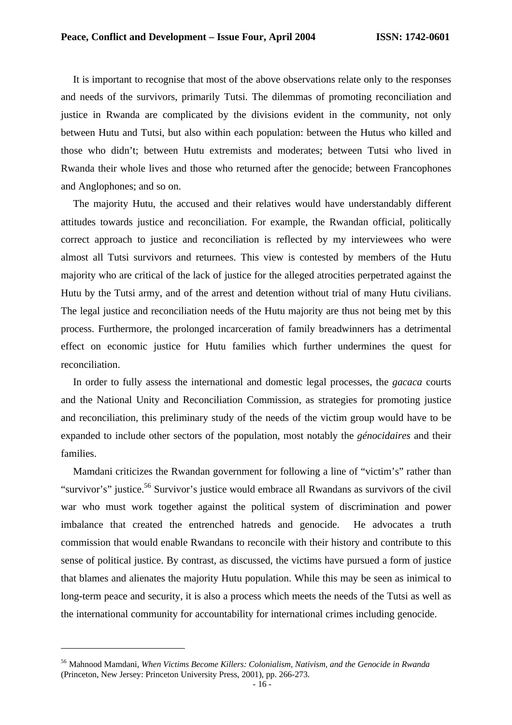It is important to recognise that most of the above observations relate only to the responses and needs of the survivors, primarily Tutsi. The dilemmas of promoting reconciliation and justice in Rwanda are complicated by the divisions evident in the community, not only between Hutu and Tutsi, but also within each population: between the Hutus who killed and those who didn't; between Hutu extremists and moderates; between Tutsi who lived in Rwanda their whole lives and those who returned after the genocide; between Francophones and Anglophones; and so on.

The majority Hutu, the accused and their relatives would have understandably different attitudes towards justice and reconciliation. For example, the Rwandan official, politically correct approach to justice and reconciliation is reflected by my interviewees who were almost all Tutsi survivors and returnees. This view is contested by members of the Hutu majority who are critical of the lack of justice for the alleged atrocities perpetrated against the Hutu by the Tutsi army, and of the arrest and detention without trial of many Hutu civilians. The legal justice and reconciliation needs of the Hutu majority are thus not being met by this process. Furthermore, the prolonged incarceration of family breadwinners has a detrimental effect on economic justice for Hutu families which further undermines the quest for reconciliation.

In order to fully assess the international and domestic legal processes, the *gacaca* courts and the National Unity and Reconciliation Commission, as strategies for promoting justice and reconciliation, this preliminary study of the needs of the victim group would have to be expanded to include other sectors of the population, most notably the *génocidaires* and their families.

Mamdani criticizes the Rwandan government for following a line of "victim's" rather than "survivor's" justice.<sup>56</sup> Survivor's justice would embrace all Rwandans as survivors of the civil war who must work together against the political system of discrimination and power imbalance that created the entrenched hatreds and genocide. He advocates a truth commission that would enable Rwandans to reconcile with their history and contribute to this sense of political justice. By contrast, as discussed, the victims have pursued a form of justice that blames and alienates the majority Hutu population. While this may be seen as inimical to long-term peace and security, it is also a process which meets the needs of the Tutsi as well as the international community for accountability for international crimes including genocide.

<sup>56</sup> Mahnood Mamdani, *When Victims Become Killers: Colonialism, Nativism, and the Genocide in Rwanda* (Princeton, New Jersey: Princeton University Press, 2001), pp. 266-273.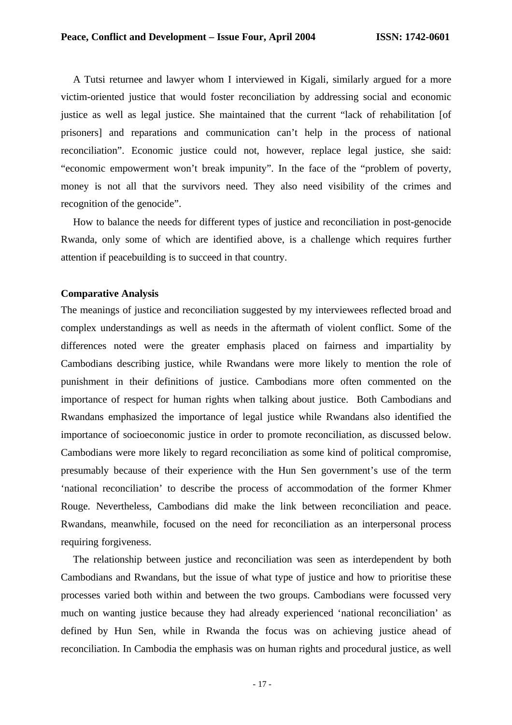A Tutsi returnee and lawyer whom I interviewed in Kigali, similarly argued for a more victim-oriented justice that would foster reconciliation by addressing social and economic justice as well as legal justice. She maintained that the current "lack of rehabilitation [of prisoners] and reparations and communication can't help in the process of national reconciliation". Economic justice could not, however, replace legal justice, she said: "economic empowerment won't break impunity". In the face of the "problem of poverty, money is not all that the survivors need. They also need visibility of the crimes and recognition of the genocide".

How to balance the needs for different types of justice and reconciliation in post-genocide Rwanda, only some of which are identified above, is a challenge which requires further attention if peacebuilding is to succeed in that country.

#### **Comparative Analysis**

The meanings of justice and reconciliation suggested by my interviewees reflected broad and complex understandings as well as needs in the aftermath of violent conflict. Some of the differences noted were the greater emphasis placed on fairness and impartiality by Cambodians describing justice, while Rwandans were more likely to mention the role of punishment in their definitions of justice. Cambodians more often commented on the importance of respect for human rights when talking about justice. Both Cambodians and Rwandans emphasized the importance of legal justice while Rwandans also identified the importance of socioeconomic justice in order to promote reconciliation, as discussed below. Cambodians were more likely to regard reconciliation as some kind of political compromise, presumably because of their experience with the Hun Sen government's use of the term 'national reconciliation' to describe the process of accommodation of the former Khmer Rouge. Nevertheless, Cambodians did make the link between reconciliation and peace. Rwandans, meanwhile, focused on the need for reconciliation as an interpersonal process requiring forgiveness.

The relationship between justice and reconciliation was seen as interdependent by both Cambodians and Rwandans, but the issue of what type of justice and how to prioritise these processes varied both within and between the two groups. Cambodians were focussed very much on wanting justice because they had already experienced 'national reconciliation' as defined by Hun Sen, while in Rwanda the focus was on achieving justice ahead of reconciliation. In Cambodia the emphasis was on human rights and procedural justice, as well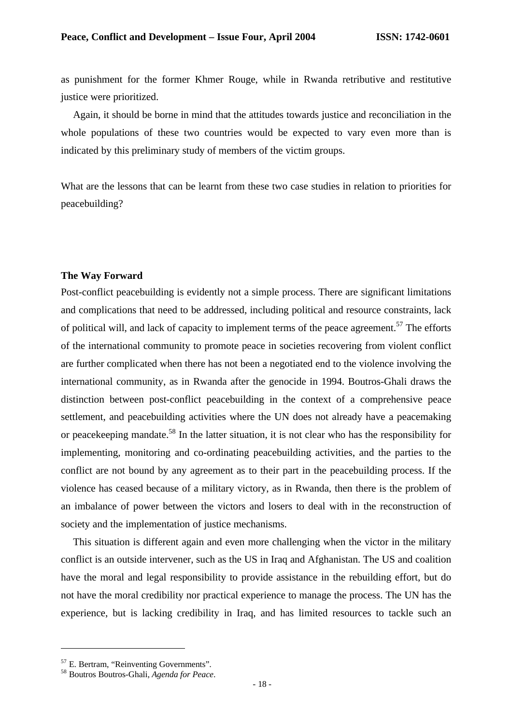as punishment for the former Khmer Rouge, while in Rwanda retributive and restitutive justice were prioritized.

Again, it should be borne in mind that the attitudes towards justice and reconciliation in the whole populations of these two countries would be expected to vary even more than is indicated by this preliminary study of members of the victim groups.

What are the lessons that can be learnt from these two case studies in relation to priorities for peacebuilding?

#### **The Way Forward**

Post-conflict peacebuilding is evidently not a simple process. There are significant limitations and complications that need to be addressed, including political and resource constraints, lack of political will, and lack of capacity to implement terms of the peace agreement.<sup>57</sup> The efforts of the international community to promote peace in societies recovering from violent conflict are further complicated when there has not been a negotiated end to the violence involving the international community, as in Rwanda after the genocide in 1994. Boutros-Ghali draws the distinction between post-conflict peacebuilding in the context of a comprehensive peace settlement, and peacebuilding activities where the UN does not already have a peacemaking or peacekeeping mandate.<sup>58</sup> In the latter situation, it is not clear who has the responsibility for implementing, monitoring and co-ordinating peacebuilding activities, and the parties to the conflict are not bound by any agreement as to their part in the peacebuilding process. If the violence has ceased because of a military victory, as in Rwanda, then there is the problem of an imbalance of power between the victors and losers to deal with in the reconstruction of society and the implementation of justice mechanisms.

This situation is different again and even more challenging when the victor in the military conflict is an outside intervener, such as the US in Iraq and Afghanistan. The US and coalition have the moral and legal responsibility to provide assistance in the rebuilding effort, but do not have the moral credibility nor practical experience to manage the process. The UN has the experience, but is lacking credibility in Iraq, and has limited resources to tackle such an

<sup>57</sup> E. Bertram, "Reinventing Governments".

<sup>58</sup> Boutros Boutros-Ghali, *Agenda for Peace*.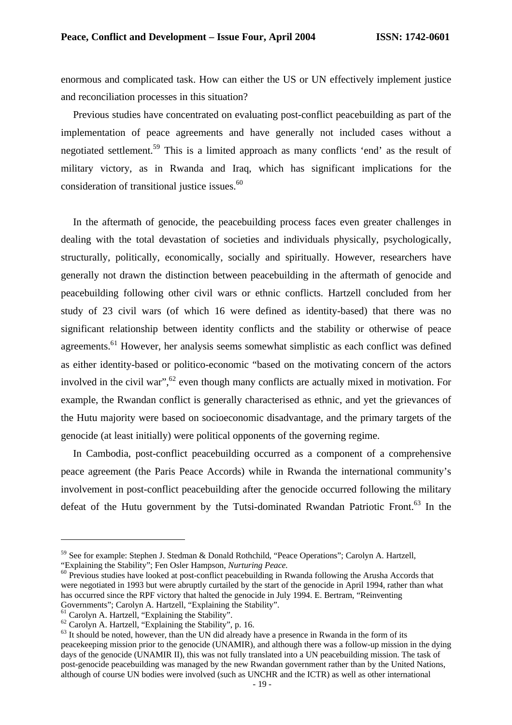enormous and complicated task. How can either the US or UN effectively implement justice and reconciliation processes in this situation?

Previous studies have concentrated on evaluating post-conflict peacebuilding as part of the implementation of peace agreements and have generally not included cases without a negotiated settlement.<sup>59</sup> This is a limited approach as many conflicts 'end' as the result of military victory, as in Rwanda and Iraq, which has significant implications for the consideration of transitional justice issues.<sup>60</sup>

In the aftermath of genocide, the peacebuilding process faces even greater challenges in dealing with the total devastation of societies and individuals physically, psychologically, structurally, politically, economically, socially and spiritually. However, researchers have generally not drawn the distinction between peacebuilding in the aftermath of genocide and peacebuilding following other civil wars or ethnic conflicts. Hartzell concluded from her study of 23 civil wars (of which 16 were defined as identity-based) that there was no significant relationship between identity conflicts and the stability or otherwise of peace agreements.<sup>61</sup> However, her analysis seems somewhat simplistic as each conflict was defined as either identity-based or politico-economic "based on the motivating concern of the actors involved in the civil war",<sup>62</sup> even though many conflicts are actually mixed in motivation. For example, the Rwandan conflict is generally characterised as ethnic, and yet the grievances of the Hutu majority were based on socioeconomic disadvantage, and the primary targets of the genocide (at least initially) were political opponents of the governing regime.

In Cambodia, post-conflict peacebuilding occurred as a component of a comprehensive peace agreement (the Paris Peace Accords) while in Rwanda the international community's involvement in post-conflict peacebuilding after the genocide occurred following the military defeat of the Hutu government by the Tutsi-dominated Rwandan Patriotic Front.<sup>63</sup> In the

<sup>59</sup> See for example: Stephen J. Stedman & Donald Rothchild, "Peace Operations"; Carolyn A. Hartzell, "Explaining the Stability"; Fen Osler Hampson, *Nurturing Peace.*

<sup>&</sup>lt;sup>60</sup> Previous studies have looked at post-conflict peacebuilding in Rwanda following the Arusha Accords that were negotiated in 1993 but were abruptly curtailed by the start of the genocide in April 1994, rather than what has occurred since the RPF victory that halted the genocide in July 1994. E. Bertram, "Reinventing Governments"; Carolyn A. Hartzell, "Explaining the Stability".

<sup>&</sup>lt;sup>61</sup> Carolyn A. Hartzell, "Explaining the Stability".

 $62$  Carolyn A. Hartzell, "Explaining the Stability", p. 16.

 $63$  It should be noted, however, than the UN did already have a presence in Rwanda in the form of its peacekeeping mission prior to the genocide (UNAMIR), and although there was a follow-up mission in the dying days of the genocide (UNAMIR II), this was not fully translated into a UN peacebuilding mission. The task of post-genocide peacebuilding was managed by the new Rwandan government rather than by the United Nations, although of course UN bodies were involved (such as UNCHR and the ICTR) as well as other international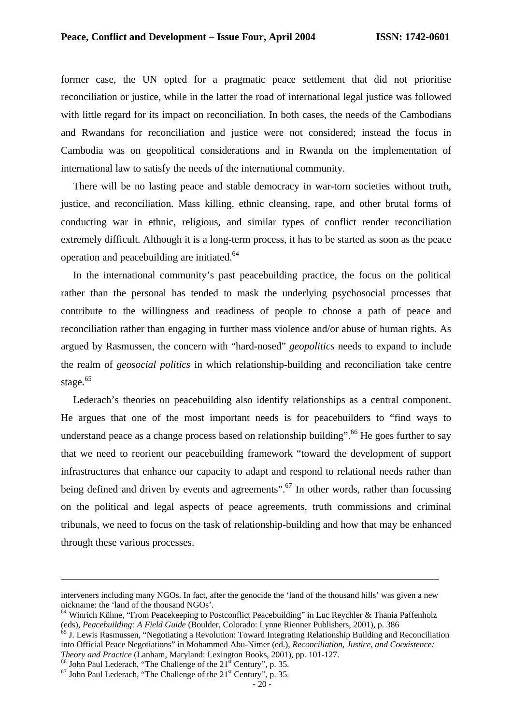former case, the UN opted for a pragmatic peace settlement that did not prioritise reconciliation or justice, while in the latter the road of international legal justice was followed with little regard for its impact on reconciliation. In both cases, the needs of the Cambodians and Rwandans for reconciliation and justice were not considered; instead the focus in Cambodia was on geopolitical considerations and in Rwanda on the implementation of international law to satisfy the needs of the international community.

There will be no lasting peace and stable democracy in war-torn societies without truth, justice, and reconciliation. Mass killing, ethnic cleansing, rape, and other brutal forms of conducting war in ethnic, religious, and similar types of conflict render reconciliation extremely difficult. Although it is a long-term process, it has to be started as soon as the peace operation and peacebuilding are initiated.<sup>64</sup>

In the international community's past peacebuilding practice, the focus on the political rather than the personal has tended to mask the underlying psychosocial processes that contribute to the willingness and readiness of people to choose a path of peace and reconciliation rather than engaging in further mass violence and/or abuse of human rights. As argued by Rasmussen, the concern with "hard-nosed" *geopolitics* needs to expand to include the realm of *geosocial politics* in which relationship-building and reconciliation take centre stage.<sup>65</sup>

Lederach's theories on peacebuilding also identify relationships as a central component. He argues that one of the most important needs is for peacebuilders to "find ways to understand peace as a change process based on relationship building".<sup>66</sup> He goes further to say that we need to reorient our peacebuilding framework "toward the development of support infrastructures that enhance our capacity to adapt and respond to relational needs rather than being defined and driven by events and agreements".<sup>67</sup> In other words, rather than focussing on the political and legal aspects of peace agreements, truth commissions and criminal tribunals, we need to focus on the task of relationship-building and how that may be enhanced through these various processes.

interveners including many NGOs. In fact, after the genocide the 'land of the thousand hills' was given a new nickname: the 'land of the thousand NGOs'.

<sup>&</sup>lt;sup>64</sup> Winrich Kühne, "From Peacekeeping to Postconflict Peacebuilding" in Luc Reychler & Thania Paffenholz (eds), *Peacebuilding: A Field Guide* (Boulder, Colorado: Lynne Rienner Publishers, 2001), p. 386

<sup>&</sup>lt;sup>65</sup> J. Lewis Rasmussen, "Negotiating a Revolution: Toward Integrating Relationship Building and Reconciliation into Official Peace Negotiations" in Mohammed Abu-Nimer (ed.), *Reconciliation, Justice, and Coexistence: Theory and Practice* (Lanham, Maryland: Lexington Books, 2001), pp. 101-127.

 $^{66}$  John Paul Lederach, "The Challenge of the  $21<sup>st</sup>$  Century", p. 35.

 $67$  John Paul Lederach, "The Challenge of the  $21<sup>st</sup>$  Century", p. 35.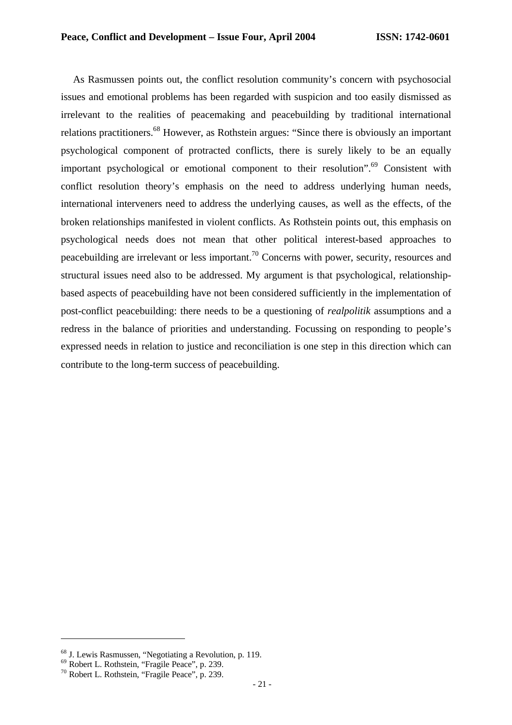As Rasmussen points out, the conflict resolution community's concern with psychosocial issues and emotional problems has been regarded with suspicion and too easily dismissed as irrelevant to the realities of peacemaking and peacebuilding by traditional international relations practitioners.<sup>68</sup> However, as Rothstein argues: "Since there is obviously an important psychological component of protracted conflicts, there is surely likely to be an equally important psychological or emotional component to their resolution".<sup>69</sup> Consistent with conflict resolution theory's emphasis on the need to address underlying human needs, international interveners need to address the underlying causes, as well as the effects, of the broken relationships manifested in violent conflicts. As Rothstein points out, this emphasis on psychological needs does not mean that other political interest-based approaches to peacebuilding are irrelevant or less important.<sup>70</sup> Concerns with power, security, resources and structural issues need also to be addressed. My argument is that psychological, relationshipbased aspects of peacebuilding have not been considered sufficiently in the implementation of post-conflict peacebuilding: there needs to be a questioning of *realpolitik* assumptions and a redress in the balance of priorities and understanding. Focussing on responding to people's expressed needs in relation to justice and reconciliation is one step in this direction which can contribute to the long-term success of peacebuilding.

<sup>68</sup> J. Lewis Rasmussen, "Negotiating a Revolution, p. 119.

<sup>69</sup> Robert L. Rothstein, "Fragile Peace", p. 239.

<sup>70</sup> Robert L. Rothstein, "Fragile Peace", p. 239.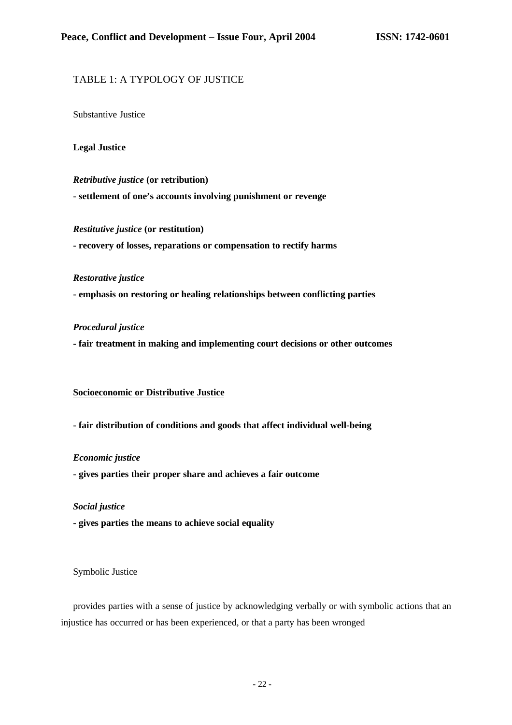### TABLE 1: A TYPOLOGY OF JUSTICE

Substantive Justice

#### **Legal Justice**

*Retributive justice* **(or retribution) - settlement of one's accounts involving punishment or revenge**

*Restitutive justice* **(or restitution)**

**- recovery of losses, reparations or compensation to rectify harms**

*Restorative justice*

**- emphasis on restoring or healing relationships between conflicting parties**

#### *Procedural justice*

**- fair treatment in making and implementing court decisions or other outcomes**

# **Socioeconomic or Distributive Justice**

**- fair distribution of conditions and goods that affect individual well-being**

#### *Economic justice*

**- gives parties their proper share and achieves a fair outcome**

#### *Social justice*

**- gives parties the means to achieve social equality**

Symbolic Justice

provides parties with a sense of justice by acknowledging verbally or with symbolic actions that an injustice has occurred or has been experienced, or that a party has been wronged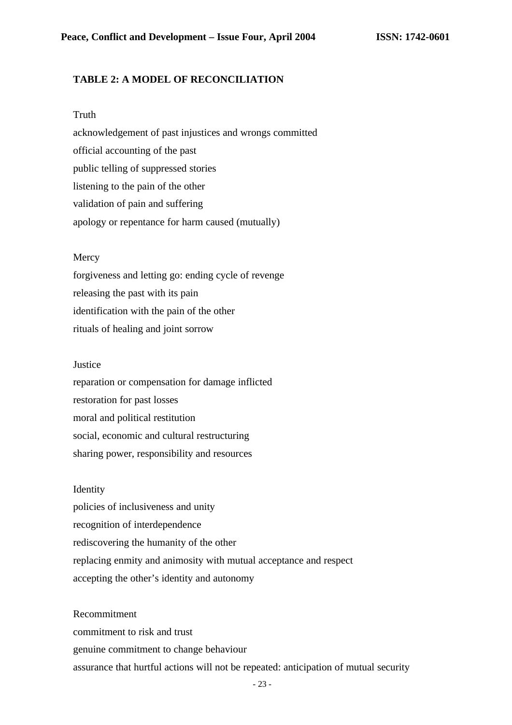# **TABLE 2: A MODEL OF RECONCILIATION**

#### Truth

acknowledgement of past injustices and wrongs committed official accounting of the past public telling of suppressed stories listening to the pain of the other validation of pain and suffering apology or repentance for harm caused (mutually)

#### **Mercy**

forgiveness and letting go: ending cycle of revenge releasing the past with its pain identification with the pain of the other rituals of healing and joint sorrow

#### Justice

reparation or compensation for damage inflicted restoration for past losses moral and political restitution social, economic and cultural restructuring sharing power, responsibility and resources

#### Identity

policies of inclusiveness and unity recognition of interdependence rediscovering the humanity of the other replacing enmity and animosity with mutual acceptance and respect accepting the other's identity and autonomy

Recommitment commitment to risk and trust genuine commitment to change behaviour assurance that hurtful actions will not be repeated: anticipation of mutual security